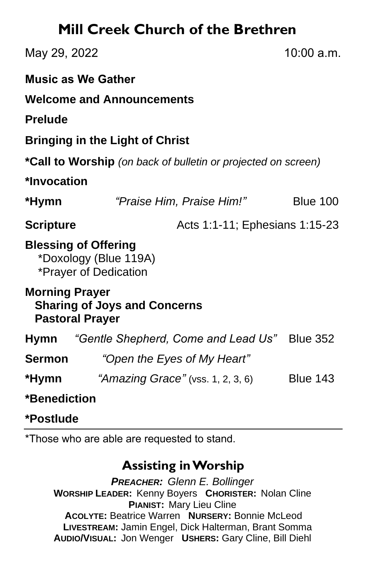# **Mill Creek Church of the Brethren**

| May 29, 2022                                                                           |                                                                               | 10:00 a.m.                     |  |
|----------------------------------------------------------------------------------------|-------------------------------------------------------------------------------|--------------------------------|--|
|                                                                                        | <b>Music as We Gather</b>                                                     |                                |  |
|                                                                                        | <b>Welcome and Announcements</b>                                              |                                |  |
| <b>Prelude</b>                                                                         |                                                                               |                                |  |
|                                                                                        | <b>Bringing in the Light of Christ</b>                                        |                                |  |
|                                                                                        | *Call to Worship (on back of bulletin or projected on screen)                 |                                |  |
| *Invocation                                                                            |                                                                               |                                |  |
| *Hymn                                                                                  | "Praise Him, Praise Him!"                                                     | <b>Blue 100</b>                |  |
| <b>Scripture</b>                                                                       |                                                                               | Acts 1:1-11; Ephesians 1:15-23 |  |
|                                                                                        | <b>Blessing of Offering</b><br>*Doxology (Blue 119A)<br>*Prayer of Dedication |                                |  |
| <b>Morning Prayer</b><br><b>Sharing of Joys and Concerns</b><br><b>Pastoral Prayer</b> |                                                                               |                                |  |
| Hymn                                                                                   | "Gentle Shepherd, Come and Lead Us"                                           | <b>Blue 352</b>                |  |
| <b>Sermon</b>                                                                          | "Open the Eyes of My Heart"                                                   |                                |  |
|                                                                                        | <b>*Hymn</b> "Amazing Grace" (vss. 1, 2, 3, 6)                                | <b>Blue 143</b>                |  |
| *Benediction                                                                           |                                                                               |                                |  |

**\*Postlude** 

\*Those who are able are requested to stand.

### **Assisting in Worship**

*PREACHER: Glenn E. Bollinger* **WORSHIP LEADER:** Kenny Boyers **CHORISTER:** Nolan Cline **PIANIST:** Mary Lieu Cline **ACOLYTE:** Beatrice Warren **NURSERY:** Bonnie McLeod **LIVESTREAM:** Jamin Engel, Dick Halterman, Brant Somma **AUDIO/VISUAL:** Jon Wenger **USHERS:** Gary Cline, Bill Diehl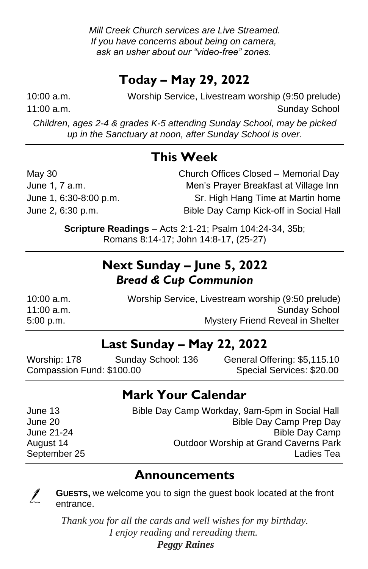# **Today – May 29, 2022**

10:00 a.m. Worship Service, Livestream worship (9:50 prelude) 11:00 a.m. Sunday School and Sunday School and Sunday School and Sunday School and Sunday School and Sunday School

*Children, ages 2-4 & grades K-5 attending Sunday School, may be picked up in the Sanctuary at noon, after Sunday School is over.*

### **This Week**

May 30 Church Offices Closed – Memorial Day June 1, 7 a.m. Men's Prayer Breakfast at Village Inn June 1, 6:30-8:00 p.m. Sr. High Hang Time at Martin home June 2, 6:30 p.m. Bible Day Camp Kick-off in Social Hall

> **Scripture Readings** – Acts 2:1-21; Psalm 104:24-34, 35b; Romans 8:14-17; John 14:8-17, (25-27)

## **Next Sunday – June 5, 2022** *Bread & Cup Communion*

| $10:00$ a.m. | Worship Service, Livestream worship (9:50 prelude) |
|--------------|----------------------------------------------------|
| 11:00 a.m.   | <b>Sunday School</b>                               |
| 5:00 p.m.    | <b>Mystery Friend Reveal in Shelter</b>            |

### **Last Sunday – May 22, 2022**

Worship: 178 Sunday School: 136 General Offering: \$5,115.10 Compassion Fund: \$100.00 Special Services: \$20.00

## **Mark Your Calendar**

| June 13      | Bible Day Camp Workday, 9am-5pm in Social Hall |
|--------------|------------------------------------------------|
| June 20      | Bible Day Camp Prep Day                        |
| June 21-24   | <b>Bible Day Camp</b>                          |
| August 14    | Outdoor Worship at Grand Caverns Park          |
| September 25 | Ladies Tea                                     |
|              |                                                |

#### **Announcements**



**GUESTS,** we welcome you to sign the guest book located at the front entrance.

*Thank you for all the cards and well wishes for my birthday. I enjoy reading and rereading them.*

 *Peggy Raines*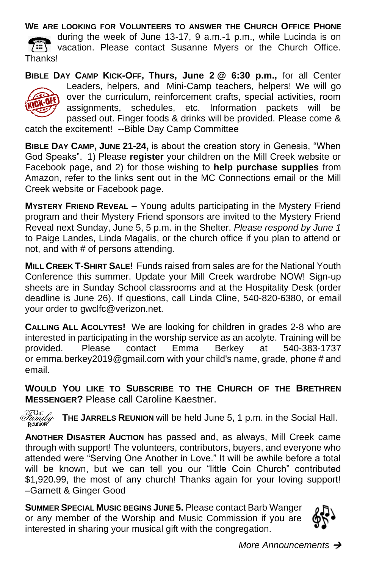#### **WE ARE LOOKING FOR VOLUNTEERS TO ANSWER THE CHURCH OFFICE PHONE** during the week of June 13-17, 9 a.m.-1 p.m., while Lucinda is on **WEY** vacation. Please contact Susanne Myers or the Church Office. Thanks!

**BIBLE DAY CAMP KICK-OFF, Thurs, June 2 @ 6:30 p.m.,** for all Center Leaders, helpers, and Mini-Camp teachers, helpers! We will go over the curriculum, reinforcement crafts, special activities, room assignments, schedules, etc. Information packets will be passed out. Finger foods & drinks will be provided. Please come & catch the excitement! --Bible Day Camp Committee

**BIBLE DAY CAMP, JUNE 21-24,** is about the creation story in Genesis, "When God Speaks".1) Please **register** your children on the Mill Creek website or Facebook page, and 2) for those wishing to **help purchase supplies** from Amazon, refer to the links sent out in the MC Connections email or the Mill Creek website or Facebook page.

**MYSTERY FRIEND REVEAL** – Young adults participating in the Mystery Friend program and their Mystery Friend sponsors are invited to the Mystery Friend Reveal next Sunday, June 5, 5 p.m. in the Shelter. *Please respond by June 1* to Paige Landes, Linda Magalis, or the church office if you plan to attend or not, and with # of persons attending.

**MILL CREEK T-SHIRT SALE!** Funds raised from sales are for the National Youth Conference this summer. Update your Mill Creek wardrobe NOW! Sign-up sheets are in Sunday School classrooms and at the Hospitality Desk (order deadline is June 26). If questions, call Linda Cline, 540-820-6380, or email your order to gwclfc@verizon.net.

**CALLING ALL ACOLYTES!** We are looking for children in grades 2-8 who are interested in participating in the worship service as an acolyte. Training will be provided. Please contact Emma Berkey at 540-383-1737 or emma.berkey2019@gmail.com with your child's name, grade, phone # and email.

**WOULD YOU LIKE TO SUBSCRIBE TO THE CHURCH OF THE BRETHREN MESSENGER?** Please call Caroline Kaestner.

*Family*<br>Reunion **THE JARRELS REUNION** will be held June 5, 1 p.m. in the Social Hall.

**ANOTHER DISASTER AUCTION** has passed and, as always, Mill Creek came through with support! The volunteers, contributors, buyers, and everyone who attended were "Serving One Another in Love." It will be awhile before a total will be known, but we can tell you our "little Coin Church" contributed \$1,920.99, the most of any church! Thanks again for your loving support! –Garnett & Ginger Good

**SUMMER SPECIAL MUSIC BEGINS JUNE 5.** Please contact Barb Wanger or any member of the Worship and Music Commission if you are interested in sharing your musical gift with the congregation.